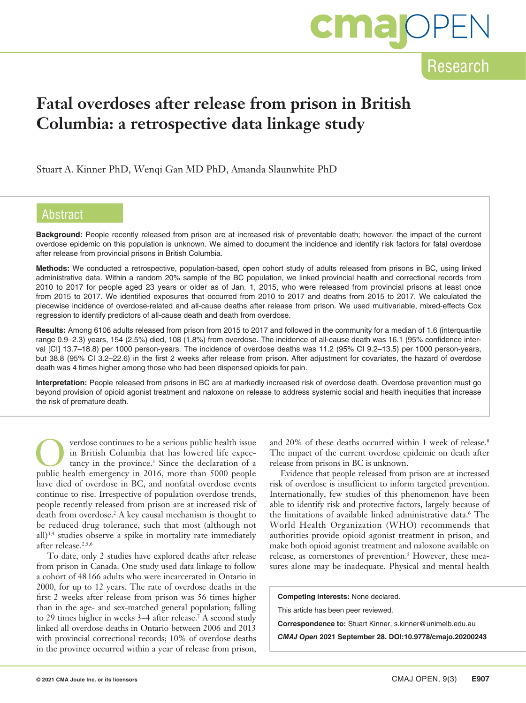# **cma**OF

### Research

### **Fatal overdoses after release from prison in British Columbia: a retrospective data linkage study**

Stuart A. Kinner PhD, Wenqi Gan MD PhD, Amanda Slaunwhite PhD

### Abstract

**Background:** People recently released from prison are at increased risk of preventable death; however, the impact of the current overdose epidemic on this population is unknown. We aimed to document the incidence and identify risk factors for fatal overdose after release from provincial prisons in British Columbia.

**Methods:** We conducted a retrospective, population-based, open cohort study of adults released from prisons in BC, using linked administrative data. Within a random 20% sample of the BC population, we linked provincial health and correctional records from 2010 to 2017 for people aged 23 years or older as of Jan. 1, 2015, who were released from provincial prisons at least once from 2015 to 2017. We identified exposures that occurred from 2010 to 2017 and deaths from 2015 to 2017. We calculated the piecewise incidence of overdose-related and all-cause deaths after release from prison. We used multivariable, mixed-effects Cox regression to identify predictors of all-cause death and death from overdose.

**Results:** Among 6106 adults released from prison from 2015 to 2017 and followed in the community for a median of 1.6 (interquartile range 0.9–2.3) years, 154 (2.5%) died, 108 (1.8%) from overdose. The incidence of all-cause death was 16.1 (95% confidence interval [CI] 13.7–18.8) per 1000 person-years. The incidence of overdose deaths was 11.2 (95% CI 9.2–13.5) per 1000 person-years, but 38.8 (95% CI 3.2–22.6) in the first 2 weeks after release from prison. After adjustment for covariates, the hazard of overdose death was 4 times higher among those who had been dispensed opioids for pain.

**Interpretation:** People released from prisons in BC are at markedly increased risk of overdose death. Overdose prevention must go beyond provision of opioid agonist treatment and naloxone on release to address systemic social and health inequities that increase the risk of premature death.

verdose continues to be a serious public health issue<br>in British Columbia that has lowered life expec-<br>tancy in the province.<sup>1</sup> Since the declaration of a<br>public health amergency in 2016, more than 5000 people in British Columbia that has lowered life expecpublic health emergency in 2016, more than 5000 people have died of overdose in BC, and nonfatal overdose events continue to rise. Irrespective of population overdose trends, people recently released from prison are at increased risk of death from overdose.2 A key causal mechanism is thought to be reduced drug tolerance, such that most (although not all)3,4 studies observe a spike in mortality rate immediately after release.<sup>2,5,6</sup>

To date, only 2 studies have explored deaths after release from prison in Canada. One study used data linkage to follow a cohort of 48166 adults who were incarcerated in Ontario in 2000, for up to 12 years. The rate of overdose deaths in the first 2 weeks after release from prison was 56 times higher than in the age- and sex-matched general population; falling to 29 times higher in weeks 3–4 after release.<sup>7</sup> A second study linked all overdose deaths in Ontario between 2006 and 2013 with provincial correctional records; 10% of overdose deaths in the province occurred within a year of release from prison,

and 20% of these deaths occurred within 1 week of release.<sup>8</sup> The impact of the current overdose epidemic on death after release from prisons in BC is unknown.

Evidence that people released from prison are at increased risk of overdose is insufficient to inform targeted prevention. Internationally, few studies of this phenomenon have been able to identify risk and protective factors, largely because of the limitations of available linked administrative data.6 The World Health Organization (WHO) recommends that authorities provide opioid agonist treatment in prison, and make both opioid agonist treatment and naloxone available on release, as cornerstones of prevention.<sup>5</sup> However, these measures alone may be inadequate. Physical and mental health

**Competing interests:** None declared.

This article has been peer reviewed.

**Correspondence to:** Stuart Kinner, s.kinner@unimelb.edu.au

*CMAJ Open* **2021 September 28. DOI:10.9778/cmajo.20200243**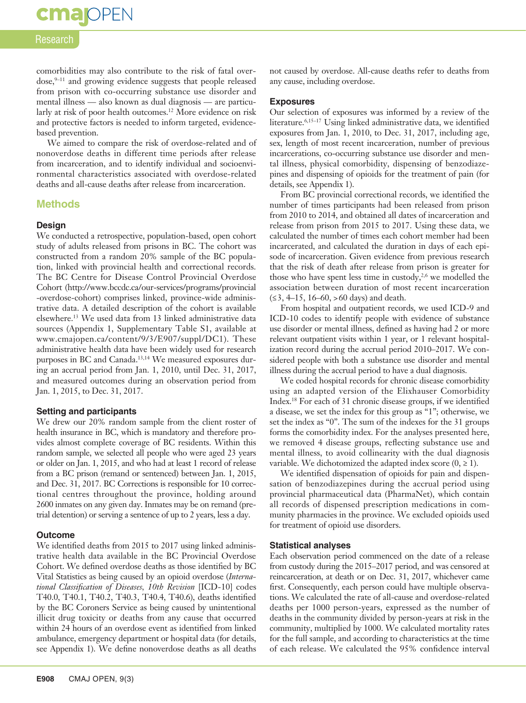### Research

**cmajoPEN** 

comorbidities may also contribute to the risk of fatal overdose,<sup>9-11</sup> and growing evidence suggests that people released from prison with co-occurring substance use disorder and mental illness — also known as dual diagnosis — are particularly at risk of poor health outcomes.<sup>12</sup> More evidence on risk and protective factors is needed to inform targeted, evidencebased prevention.

We aimed to compare the risk of overdose-related and of nonoverdose deaths in different time periods after release from incarceration, and to identify individual and socioenvironmental characteristics associated with overdose-related deaths and all-cause deaths after release from incarceration.

### **Methods**

### **Design**

We conducted a retrospective, population-based, open cohort study of adults released from prisons in BC. The cohort was constructed from a random 20% sample of the BC population, linked with provincial health and correctional records. The BC Centre for Disease Control Provincial Overdose Cohort (http://www.bccdc.ca/our-services/programs/provincial -overdose-cohort) comprises linked, province-wide administrative data. A detailed description of the cohort is available elsewhere.13 We used data from 13 linked administrative data sources (Appendix 1, Supplementary Table S1, available at www.cmajopen.ca/content/9/3/E907/suppl/DC1). These administrative health data have been widely used for research purposes in BC and Canada.<sup>13,14</sup> We measured exposures during an accrual period from Jan. 1, 2010, until Dec. 31, 2017, and measured outcomes during an observation period from Jan. 1, 2015, to Dec. 31, 2017.

#### **Setting and participants**

We drew our 20% random sample from the client roster of health insurance in BC, which is mandatory and therefore provides almost complete coverage of BC residents. Within this random sample, we selected all people who were aged 23 years or older on Jan. 1, 2015, and who had at least 1 record of release from a BC prison (remand or sentenced) between Jan. 1, 2015, and Dec. 31, 2017. BC Corrections is responsible for 10 correctional centres throughout the province, holding around 2600 inmates on any given day. Inmates may be on remand (pretrial detention) or serving a sentence of up to 2 years, less a day.

#### **Outcome**

We identified deaths from 2015 to 2017 using linked administrative health data available in the BC Provincial Overdose Cohort. We defined overdose deaths as those identified by BC Vital Statistics as being caused by an opioid overdose (*International Classification of Diseases, 10th Revision* [ICD-10] codes T40.0, T40.1, T40.2, T40.3, T40.4, T40.6), deaths identified by the BC Coroners Service as being caused by unintentional illicit drug toxicity or deaths from any cause that occurred within 24 hours of an overdose event as identified from linked ambulance, emergency department or hospital data (for details, see Appendix 1). We define nonoverdose deaths as all deaths

not caused by overdose. All-cause deaths refer to deaths from any cause, including overdose.

### **Exposures**

Our selection of exposures was informed by a review of the literature.6,15–17 Using linked administrative data, we identified exposures from Jan. 1, 2010, to Dec. 31, 2017, including age, sex, length of most recent incarceration, number of previous incarcerations, co-occurring substance use disorder and mental illness, physical comorbidity, dispensing of benzodiazepines and dispensing of opioids for the treatment of pain (for details, see Appendix 1).

From BC provincial correctional records, we identified the number of times participants had been released from prison from 2010 to 2014, and obtained all dates of incarceration and release from prison from 2015 to 2017. Using these data, we calculated the number of times each cohort member had been incarcerated, and calculated the duration in days of each episode of incarceration. Given evidence from previous research that the risk of death after release from prison is greater for those who have spent less time in custody, $2,6$  we modelled the association between duration of most recent incarceration (≤3, 4–15, 16–60, >60 days) and death.

From hospital and outpatient records, we used ICD-9 and ICD-10 codes to identify people with evidence of substance use disorder or mental illness, defined as having had 2 or more relevant outpatient visits within 1 year, or 1 relevant hospitalization record during the accrual period 2010–2017. We considered people with both a substance use disorder and mental illness during the accrual period to have a dual diagnosis.

We coded hospital records for chronic disease comorbidity using an adapted version of the Elixhauser Comorbidity Index.18 For each of 31 chronic disease groups, if we identified a disease, we set the index for this group as "1"; otherwise, we set the index as "0". The sum of the indexes for the 31 groups forms the comorbidity index. For the analyses presented here, we removed 4 disease groups, reflecting substance use and mental illness, to avoid collinearity with the dual diagnosis variable. We dichotomized the adapted index score  $(0, \ge 1)$ .

We identified dispensation of opioids for pain and dispensation of benzodiazepines during the accrual period using provincial pharmaceutical data (PharmaNet), which contain all records of dispensed prescription medications in community pharmacies in the province. We excluded opioids used for treatment of opioid use disorders.

#### **Statistical analyses**

Each observation period commenced on the date of a release from custody during the 2015–2017 period, and was censored at reincarceration, at death or on Dec. 31, 2017, whichever came first. Consequently, each person could have multiple observations. We calculated the rate of all-cause and overdose-related deaths per 1000 person-years, expressed as the number of deaths in the community divided by person-years at risk in the community, multiplied by 1000. We calculated mortality rates for the full sample, and according to characteristics at the time of each release. We calculated the 95% confidence interval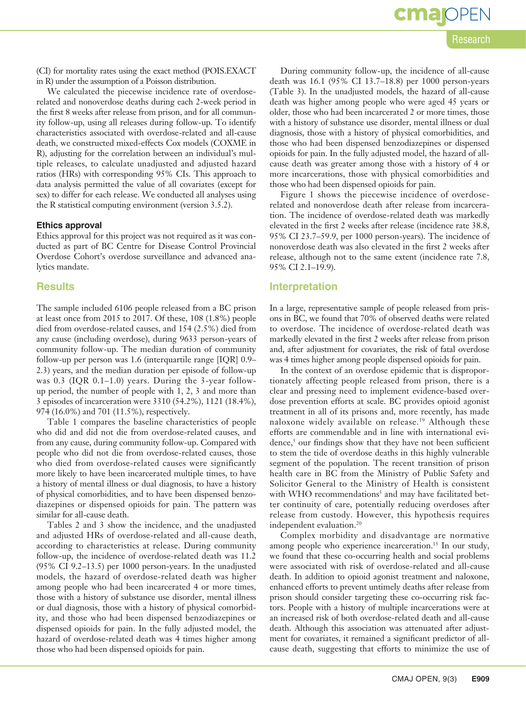**cma**IOPEN

(CI) for mortality rates using the exact method (POIS.EXACT in R) under the assumption of a Poisson distribution.

We calculated the piecewise incidence rate of overdoserelated and nonoverdose deaths during each 2-week period in the first 8 weeks after release from prison, and for all community follow-up, using all releases during follow-up. To identify characteristics associated with overdose-related and all-cause death, we constructed mixed-effects Cox models (COXME in R), adjusting for the correlation between an individual's multiple releases, to calculate unadjusted and adjusted hazard ratios (HRs) with corresponding 95% CIs. This approach to data analysis permitted the value of all covariates (except for sex) to differ for each release. We conducted all analyses using the R statistical computing environment (version 3.5.2).

### **Ethics approval**

Ethics approval for this project was not required as it was conducted as part of BC Centre for Disease Control Provincial Overdose Cohort's overdose surveillance and advanced analytics mandate.

### **Results**

The sample included 6106 people released from a BC prison at least once from 2015 to 2017. Of these, 108 (1.8%) people died from overdose-related causes, and 154 (2.5%) died from any cause (including overdose), during 9633 person-years of community follow-up. The median duration of community follow-up per person was 1.6 (interquartile range [IQR] 0.9– 2.3) years, and the median duration per episode of follow-up was 0.3 (IQR 0.1–1.0) years. During the 3-year followup period, the number of people with 1, 2, 3 and more than 3 episodes of incarceration were 3310 (54.2%), 1121 (18.4%), 974 (16.0%) and 701 (11.5%), respectively.

Table 1 compares the baseline characteristics of people who did and did not die from overdose-related causes, and from any cause, during community follow-up. Compared with people who did not die from overdose-related causes, those who died from overdose-related causes were significantly more likely to have been incarcerated multiple times, to have a history of mental illness or dual diagnosis, to have a history of physical comorbidities, and to have been dispensed benzodiazepines or dispensed opioids for pain. The pattern was similar for all-cause death.

Tables 2 and 3 show the incidence, and the unadjusted and adjusted HRs of overdose-related and all-cause death, according to characteristics at release. During community follow-up, the incidence of overdose-related death was 11.2 (95% CI 9.2–13.5) per 1000 person-years. In the unadjusted models, the hazard of overdose-related death was higher among people who had been incarcerated 4 or more times, those with a history of substance use disorder, mental illness or dual diagnosis, those with a history of physical comorbidity, and those who had been dispensed benzodiazepines or dispensed opioids for pain. In the fully adjusted model, the hazard of overdose-related death was 4 times higher among those who had been dispensed opioids for pain.

During community follow-up, the incidence of all-cause death was 16.1 (95% CI 13.7–18.8) per 1000 person-years (Table 3). In the unadjusted models, the hazard of all-cause death was higher among people who were aged 45 years or older, those who had been incarcerated 2 or more times, those with a history of substance use disorder, mental illness or dual diagnosis, those with a history of physical comorbidities, and those who had been dispensed benzodiazepines or dispensed opioids for pain. In the fully adjusted model, the hazard of allcause death was greater among those with a history of 4 or more incarcerations, those with physical comorbidities and those who had been dispensed opioids for pain.

Figure 1 shows the piecewise incidence of overdoserelated and nonoverdose death after release from incarceration. The incidence of overdose-related death was markedly elevated in the first 2 weeks after release (incidence rate 38.8, 95% CI 23.7–59.9, per 1000 person-years). The incidence of nonoverdose death was also elevated in the first 2 weeks after release, although not to the same extent (incidence rate 7.8, 95% CI 2.1–19.9).

### **Interpretation**

In a large, representative sample of people released from prisons in BC, we found that 70% of observed deaths were related to overdose. The incidence of overdose-related death was markedly elevated in the first 2 weeks after release from prison and, after adjustment for covariates, the risk of fatal overdose was 4 times higher among people dispensed opioids for pain.

In the context of an overdose epidemic that is disproportionately affecting people released from prison, there is a clear and pressing need to implement evidence-based overdose prevention efforts at scale. BC provides opioid agonist treatment in all of its prisons and, more recently, has made naloxone widely available on release.19 Although these efforts are commendable and in line with international evidence,<sup>5</sup> our findings show that they have not been sufficient to stem the tide of overdose deaths in this highly vulnerable segment of the population. The recent transition of prison health care in BC from the Ministry of Public Safety and Solicitor General to the Ministry of Health is consistent with WHO recommendations<sup>5</sup> and may have facilitated better continuity of care, potentially reducing overdoses after release from custody. However, this hypothesis requires independent evaluation.20

Complex morbidity and disadvantage are normative among people who experience incarceration.<sup>15</sup> In our study, we found that these co-occurring health and social problems were associated with risk of overdose-related and all-cause death. In addition to opioid agonist treatment and naloxone, enhanced efforts to prevent untimely deaths after release from prison should consider targeting these co-occurring risk factors. People with a history of multiple incarcerations were at an increased risk of both overdose-related death and all-cause death. Although this association was attenuated after adjustment for covariates, it remained a significant predictor of allcause death, suggesting that efforts to minimize the use of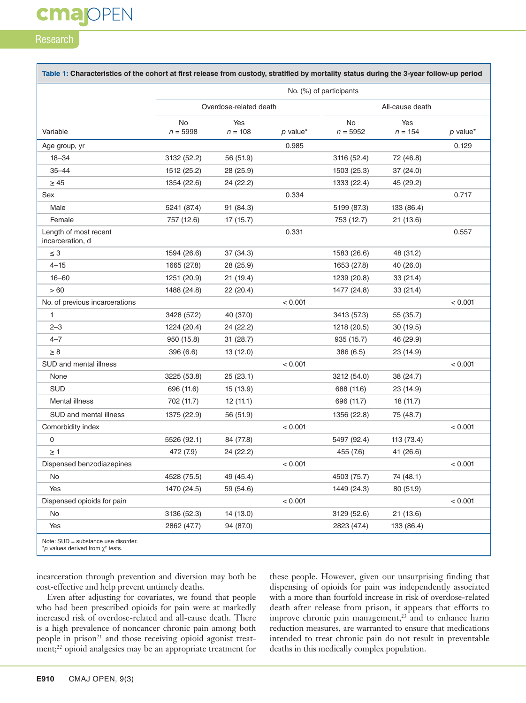### **cmajOPEN**

### Research

|                                           |                        |                  |            | No. (%) of participants |                  |            |
|-------------------------------------------|------------------------|------------------|------------|-------------------------|------------------|------------|
|                                           | Overdose-related death |                  |            | All-cause death         |                  |            |
| Variable                                  | No<br>$n = 5998$       | Yes<br>$n = 108$ | $p$ value* | <b>No</b><br>$n = 5952$ | Yes<br>$n = 154$ | $p$ value* |
| Age group, yr                             |                        |                  | 0.985      |                         |                  | 0.129      |
| $18 - 34$                                 | 3132 (52.2)            | 56 (51.9)        |            | 3116 (52.4)             | 72 (46.8)        |            |
| $35 - 44$                                 | 1512 (25.2)            | 28 (25.9)        |            | 1503 (25.3)             | 37(24.0)         |            |
| $\geq 45$                                 | 1354 (22.6)            | 24 (22.2)        |            | 1333 (22.4)             | 45 (29.2)        |            |
| Sex                                       |                        |                  | 0.334      |                         |                  | 0.717      |
| Male                                      | 5241 (87.4)            | 91 (84.3)        |            | 5199 (87.3)             | 133 (86.4)       |            |
| Female                                    | 757 (12.6)             | 17(15.7)         |            | 753 (12.7)              | 21(13.6)         |            |
| Length of most recent<br>incarceration, d |                        |                  | 0.331      |                         |                  | 0.557      |
| $\leq 3$                                  | 1594 (26.6)            | 37 (34.3)        |            | 1583 (26.6)             | 48 (31.2)        |            |
| $4 - 15$                                  | 1665 (27.8)            | 28 (25.9)        |            | 1653 (27.8)             | 40 (26.0)        |            |
| $16 - 60$                                 | 1251 (20.9)            | 21(19.4)         |            | 1239 (20.8)             | 33(21.4)         |            |
| >60                                       | 1488 (24.8)            | 22 (20.4)        |            | 1477 (24.8)             | 33(21.4)         |            |
| No. of previous incarcerations            |                        |                  | < 0.001    |                         |                  | < 0.001    |
| 1                                         | 3428 (57.2)            | 40 (37.0)        |            | 3413 (57.3)             | 55 (35.7)        |            |
| $2 - 3$                                   | 1224 (20.4)            | 24 (22.2)        |            | 1218 (20.5)             | 30(19.5)         |            |
| $4 - 7$                                   | 950 (15.8)             | 31(28.7)         |            | 935 (15.7)              | 46 (29.9)        |            |
| $\geq 8$                                  | 396 (6.6)              | 13(12.0)         |            | 386 (6.5)               | 23 (14.9)        |            |
| SUD and mental illness                    |                        |                  | < 0.001    |                         |                  | < 0.001    |
| None                                      | 3225 (53.8)            | 25(23.1)         |            | 3212 (54.0)             | 38 (24.7)        |            |
| <b>SUD</b>                                | 696 (11.6)             | 15 (13.9)        |            | 688 (11.6)              | 23 (14.9)        |            |
| Mental illness                            | 702 (11.7)             | 12(11.1)         |            | 696 (11.7)              | 18 (11.7)        |            |
| SUD and mental illness                    | 1375 (22.9)            | 56 (51.9)        |            | 1356 (22.8)             | 75 (48.7)        |            |
| Comorbidity index                         |                        |                  | < 0.001    |                         |                  | < 0.001    |
| 0                                         | 5526 (92.1)            | 84 (77.8)        |            | 5497 (92.4)             | 113 (73.4)       |            |
| $\geq 1$                                  | 472 (7.9)              | 24 (22.2)        |            | 455 (7.6)               | 41 (26.6)        |            |
| Dispensed benzodiazepines                 |                        |                  | < 0.001    |                         |                  | < 0.001    |
| No                                        | 4528 (75.5)            | 49 (45.4)        |            | 4503 (75.7)             | 74 (48.1)        |            |
| Yes                                       | 1470 (24.5)            | 59 (54.6)        |            | 1449 (24.3)             | 80 (51.9)        |            |
| Dispensed opioids for pain                |                        |                  | < 0.001    |                         |                  | < 0.001    |
| No                                        | 3136 (52.3)            | 14 (13.0)        |            | 3129 (52.6)             | 21(13.6)         |            |
| Yes                                       | 2862 (47.7)            | 94 (87.0)        |            | 2823 (47.4)             | 133 (86.4)       |            |

incarceration through prevention and diversion may both be cost-effective and help prevent untimely deaths.

Even after adjusting for covariates, we found that people who had been prescribed opioids for pain were at markedly increased risk of overdose-related and all-cause death. There is a high prevalence of noncancer chronic pain among both people in prison<sup>21</sup> and those receiving opioid agonist treatment;<sup>22</sup> opioid analgesics may be an appropriate treatment for

these people. However, given our unsurprising finding that dispensing of opioids for pain was independently associated with a more than fourfold increase in risk of overdose-related death after release from prison, it appears that efforts to improve chronic pain management,<sup>23</sup> and to enhance harm reduction measures, are warranted to ensure that medications intended to treat chronic pain do not result in preventable deaths in this medically complex population.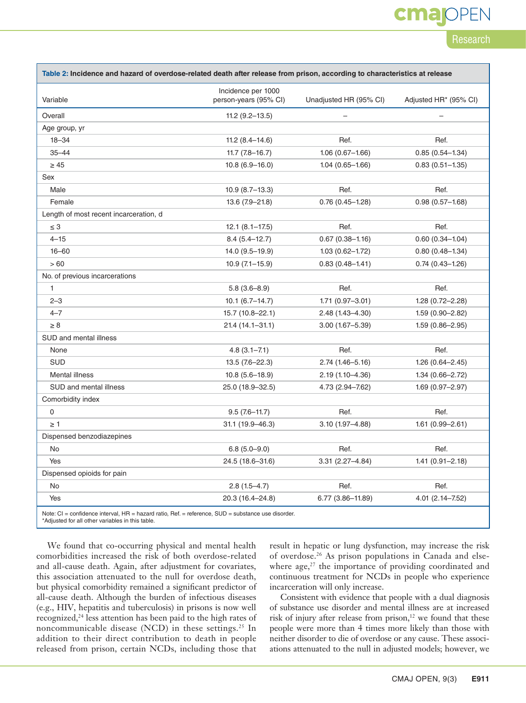## cmar

Research

| Table 2: Incidence and hazard of overdose-related death after release from prison, according to characteristics at release |                                             |                        |                       |  |  |  |
|----------------------------------------------------------------------------------------------------------------------------|---------------------------------------------|------------------------|-----------------------|--|--|--|
| Variable                                                                                                                   | Incidence per 1000<br>person-years (95% CI) | Unadjusted HR (95% CI) | Adjusted HR* (95% CI) |  |  |  |
| Overall                                                                                                                    | $11.2(9.2 - 13.5)$                          |                        |                       |  |  |  |
| Age group, yr                                                                                                              |                                             |                        |                       |  |  |  |
| $18 - 34$                                                                                                                  | $11.2(8.4 - 14.6)$                          | Ref.                   | Ref.                  |  |  |  |
| $35 - 44$                                                                                                                  | $11.7(7.8 - 16.7)$                          | $1.06(0.67 - 1.66)$    | $0.85(0.54 - 1.34)$   |  |  |  |
| $\geq 45$                                                                                                                  | $10.8(6.9 - 16.0)$                          | $1.04(0.65 - 1.66)$    | $0.83(0.51 - 1.35)$   |  |  |  |
| Sex                                                                                                                        |                                             |                        |                       |  |  |  |
| Male                                                                                                                       | $10.9(8.7-13.3)$                            | Ref.                   | Ref.                  |  |  |  |
| Female                                                                                                                     | 13.6 (7.9-21.8)                             | $0.76(0.45 - 1.28)$    | $0.98(0.57 - 1.68)$   |  |  |  |
| Length of most recent incarceration, d                                                                                     |                                             |                        |                       |  |  |  |
| $\leq 3$                                                                                                                   | $12.1(8.1 - 17.5)$                          | Ref.                   | Ref.                  |  |  |  |
| $4 - 15$                                                                                                                   | $8.4(5.4 - 12.7)$                           | $0.67(0.38 - 1.16)$    | $0.60(0.34 - 1.04)$   |  |  |  |
| $16 - 60$                                                                                                                  | 14.0 (9.5-19.9)                             | $1.03(0.62 - 1.72)$    | $0.80(0.48 - 1.34)$   |  |  |  |
| > 60                                                                                                                       | $10.9(7.1 - 15.9)$                          | $0.83(0.48 - 1.41)$    | $0.74(0.43 - 1.26)$   |  |  |  |
| No. of previous incarcerations                                                                                             |                                             |                        |                       |  |  |  |
| 1                                                                                                                          | $5.8(3.6 - 8.9)$                            | Ref.                   | Ref.                  |  |  |  |
| $2 - 3$                                                                                                                    | $10.1 (6.7 - 14.7)$                         | $1.71(0.97 - 3.01)$    | $1.28(0.72 - 2.28)$   |  |  |  |
| $4 - 7$                                                                                                                    | 15.7 (10.8-22.1)                            | 2.48 (1.43-4.30)       | $1.59(0.90 - 2.82)$   |  |  |  |
| $\geq 8$                                                                                                                   | 21.4 (14.1-31.1)                            | $3.00(1.67 - 5.39)$    | $1.59(0.86 - 2.95)$   |  |  |  |
| SUD and mental illness                                                                                                     |                                             |                        |                       |  |  |  |
| None                                                                                                                       | $4.8(3.1 - 7.1)$                            | Ref.                   | Ref.                  |  |  |  |
| <b>SUD</b>                                                                                                                 | $13.5(7.6-22.3)$                            | 2.74 (1.46-5.16)       | 1.26 (0.64-2.45)      |  |  |  |
| <b>Mental illness</b>                                                                                                      | $10.8(5.6 - 18.9)$                          | $2.19(1.10 - 4.36)$    | $1.34(0.66 - 2.72)$   |  |  |  |
| SUD and mental illness                                                                                                     | 25.0 (18.9-32.5)                            | 4.73 (2.94-7.62)       | 1.69 (0.97-2.97)      |  |  |  |
| Comorbidity index                                                                                                          |                                             |                        |                       |  |  |  |
| 0                                                                                                                          | $9.5(7.6-11.7)$                             | Ref.                   | Ref.                  |  |  |  |
| $\geq 1$                                                                                                                   | 31.1 (19.9-46.3)                            | $3.10(1.97 - 4.88)$    | $1.61(0.99 - 2.61)$   |  |  |  |
| Dispensed benzodiazepines                                                                                                  |                                             |                        |                       |  |  |  |
| No                                                                                                                         | $6.8(5.0-9.0)$                              | Ref.                   | Ref.                  |  |  |  |
| Yes                                                                                                                        | 24.5 (18.6-31.6)                            | $3.31(2.27 - 4.84)$    | $1.41(0.91 - 2.18)$   |  |  |  |
| Dispensed opioids for pain                                                                                                 |                                             |                        |                       |  |  |  |
| No                                                                                                                         | $2.8(1.5 - 4.7)$                            | Ref.                   | Ref.                  |  |  |  |
| Yes                                                                                                                        | 20.3 (16.4-24.8)                            | $6.77(3.86 - 11.89)$   | $4.01(2.14 - 7.52)$   |  |  |  |
| Note: $\Omega$ = confidence interval $\Box B$ = bezerd ratio $\Box af$ = reference $\Box \Box$ = cubetance use disorder    |                                             |                        |                       |  |  |  |

Note: CI = confidence interval, HR = hazard ratio, Ref. = reference, SUD = substance use disorder. \*Adjusted for all other variables in this table.

We found that co-occurring physical and mental health comorbidities increased the risk of both overdose-related and all-cause death. Again, after adjustment for covariates, this association attenuated to the null for overdose death, but physical comorbidity remained a significant predictor of all-cause death. Although the burden of infectious diseases (e.g., HIV, hepatitis and tuberculosis) in prisons is now well recognized,<sup>24</sup> less attention has been paid to the high rates of noncommunicable disease (NCD) in these settings.<sup>25</sup> In addition to their direct contribution to death in people released from prison, certain NCDs, including those that

result in hepatic or lung dysfunction, may increase the risk of overdose.26 As prison populations in Canada and elsewhere  $\text{age},^{27}$  the importance of providing coordinated and continuous treatment for NCDs in people who experience incarceration will only increase.

Consistent with evidence that people with a dual diagnosis of substance use disorder and mental illness are at increased risk of injury after release from prison,<sup>12</sup> we found that these people were more than 4 times more likely than those with neither disorder to die of overdose or any cause. These associations attenuated to the null in adjusted models; however, we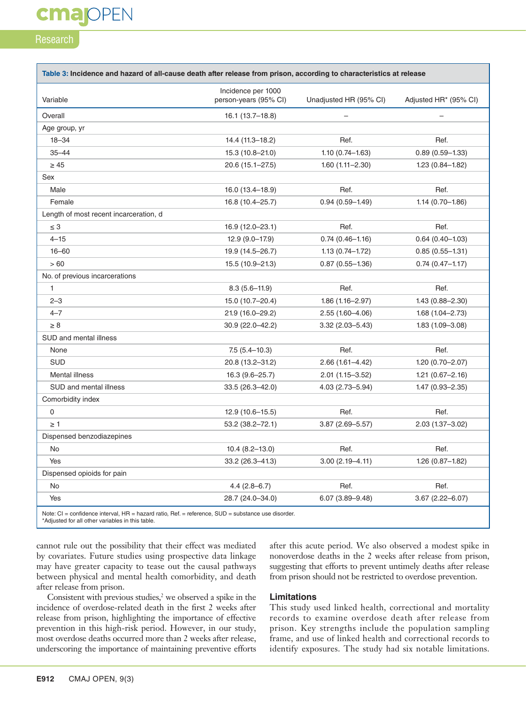# **cmajOPEN**

### Research

|                                        | Incidence per 1000    |                        |                       |
|----------------------------------------|-----------------------|------------------------|-----------------------|
| Variable                               | person-years (95% CI) | Unadjusted HR (95% CI) | Adjusted HR* (95% CI) |
| Overall                                | 16.1 (13.7-18.8)      |                        |                       |
| Age group, yr                          |                       |                        |                       |
| $18 - 34$                              | 14.4 (11.3-18.2)      | Ref.                   | Ref.                  |
| $35 - 44$                              | 15.3 (10.8-21.0)      | $1.10(0.74 - 1.63)$    | $0.89(0.59 - 1.33)$   |
| $\geq 45$                              | 20.6 (15.1-27.5)      | $1.60(1.11 - 2.30)$    | $1.23(0.84 - 1.82)$   |
| Sex                                    |                       |                        |                       |
| Male                                   | 16.0 (13.4–18.9)      | Ref.                   | Ref.                  |
| Female                                 | 16.8 (10.4-25.7)      | $0.94(0.59 - 1.49)$    | $1.14(0.70 - 1.86)$   |
| Length of most recent incarceration, d |                       |                        |                       |
| $\leq 3$                               | 16.9 (12.0-23.1)      | Ref.                   | Ref.                  |
| $4 - 15$                               | $12.9(9.0-17.9)$      | $0.74(0.46 - 1.16)$    | $0.64(0.40 - 1.03)$   |
| $16 - 60$                              | 19.9 (14.5-26.7)      | $1.13(0.74 - 1.72)$    | $0.85(0.55 - 1.31)$   |
| >60                                    | 15.5 (10.9-21.3)      | $0.87(0.55 - 1.36)$    | $0.74(0.47 - 1.17)$   |
| No. of previous incarcerations         |                       |                        |                       |
| $\mathbf{1}$                           | $8.3(5.6 - 11.9)$     | Ref.                   | Ref.                  |
| $2 - 3$                                | 15.0 (10.7-20.4)      | $1.86(1.16 - 2.97)$    | $1.43(0.88 - 2.30)$   |
| $4 - 7$                                | 21.9 (16.0-29.2)      | 2.55 (1.60-4.06)       | $1.68(1.04 - 2.73)$   |
| $\geq 8$                               | 30.9 (22.0-42.2)      | $3.32(2.03 - 5.43)$    | $1.83(1.09 - 3.08)$   |
| SUD and mental illness                 |                       |                        |                       |
| None                                   | $7.5(5.4 - 10.3)$     | Ref.                   | Ref.                  |
| <b>SUD</b>                             | 20.8 (13.2-31.2)      | $2.66(1.61 - 4.42)$    | 1.20 (0.70-2.07)      |
| <b>Mental illness</b>                  | $16.3(9.6-25.7)$      | $2.01(1.15 - 3.52)$    | $1.21(0.67 - 2.16)$   |
| SUD and mental illness                 | 33.5 (26.3-42.0)      | 4.03 (2.73-5.94)       | 1.47 (0.93-2.35)      |
| Comorbidity index                      |                       |                        |                       |
| 0                                      | 12.9 (10.6-15.5)      | Ref.                   | Ref.                  |
| $\geq 1$                               | 53.2 (38.2-72.1)      | 3.87 (2.69-5.57)       | 2.03 (1.37-3.02)      |
| Dispensed benzodiazepines              |                       |                        |                       |
| No                                     | $10.4(8.2-13.0)$      | Ref.                   | Ref.                  |
| Yes                                    | 33.2 (26.3-41.3)      | $3.00(2.19 - 4.11)$    | $1.26(0.87 - 1.82)$   |
| Dispensed opioids for pain             |                       |                        |                       |
| No                                     | $4.4(2.8-6.7)$        | Ref.                   | Ref.                  |
| Yes                                    | 28.7 (24.0-34.0)      | $6.07(3.89 - 9.48)$    | $3.67(2.22 - 6.07)$   |

Note: CI = confidence interval, HR = hazard ratio, Ref. = reference, SUD = substance use disorder. \*Adjusted for all other variables in this table.

cannot rule out the possibility that their effect was mediated by covariates. Future studies using prospective data linkage may have greater capacity to tease out the causal pathways between physical and mental health comorbidity, and death after release from prison.

Consistent with previous studies, $2$  we observed a spike in the incidence of overdose-related death in the first 2 weeks after release from prison, highlighting the importance of effective prevention in this high-risk period. However, in our study, most overdose deaths occurred more than 2 weeks after release, underscoring the importance of maintaining preventive efforts

### after this acute period. We also observed a modest spike in nonoverdose deaths in the 2 weeks after release from prison, suggesting that efforts to prevent untimely deaths after release from prison should not be restricted to overdose prevention.

### **Limitations**

This study used linked health, correctional and mortality records to examine overdose death after release from prison. Key strengths include the population sampling frame, and use of linked health and correctional records to identify exposures. The study had six notable limitations.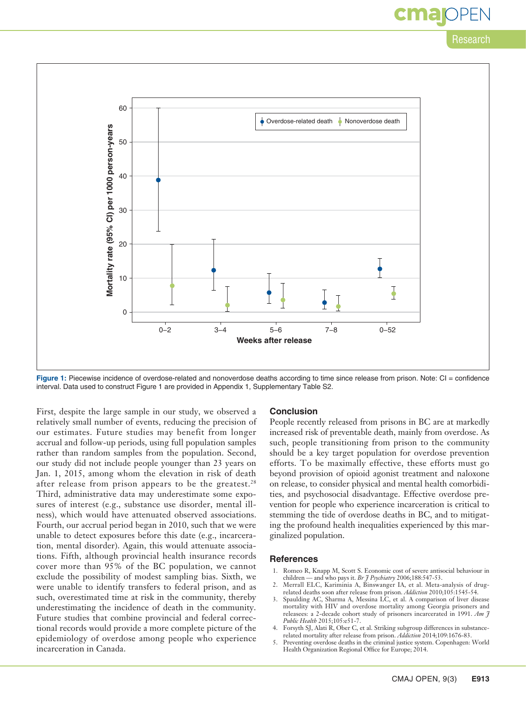### Research

cmar



Figure 1: Piecewise incidence of overdose-related and nonoverdose deaths according to time since release from prison. Note: CI = confidence interval. Data used to construct Figure 1 are provided in Appendix 1, Supplementary Table S2.

First, despite the large sample in our study, we observed a relatively small number of events, reducing the precision of our estimates. Future studies may benefit from longer accrual and follow-up periods, using full population samples rather than random samples from the population. Second, our study did not include people younger than 23 years on Jan. 1, 2015, among whom the elevation in risk of death after release from prison appears to be the greatest.<sup>28</sup> Third, administrative data may underestimate some exposures of interest (e.g., substance use disorder, mental illness), which would have attenuated observed associations. Fourth, our accrual period began in 2010, such that we were unable to detect exposures before this date (e.g., incarceration, mental disorder). Again, this would attenuate associations. Fifth, although provincial health insurance records cover more than 95% of the BC population, we cannot exclude the possibility of modest sampling bias. Sixth, we were unable to identify transfers to federal prison, and as such, overestimated time at risk in the community, thereby underestimating the incidence of death in the community. Future studies that combine provincial and federal correctional records would provide a more complete picture of the epidemiology of overdose among people who experience incarceration in Canada.

### **Conclusion**

People recently released from prisons in BC are at markedly increased risk of preventable death, mainly from overdose. As such, people transitioning from prison to the community should be a key target population for overdose prevention efforts. To be maximally effective, these efforts must go beyond provision of opioid agonist treatment and naloxone on release, to consider physical and mental health comorbidities, and psychosocial disadvantage. Effective overdose prevention for people who experience incarceration is critical to stemming the tide of overdose deaths in BC, and to mitigating the profound health inequalities experienced by this marginalized population.

#### **References**

- 1. Romeo R, Knapp M, Scott S. Economic cost of severe antisocial behaviour in children — and who pays it. *Br J Psychiatry* 2006;188:547-53.
- 2. Merrall ELC, Kariminia A, Binswanger IA, et al. Meta-analysis of drugrelated deaths soon after release from prison. *Addiction* 2010;105:1545-54.
- 3. Spaulding AC, Sharma A, Messina LC, et al. A comparison of liver disease mortality with HIV and overdose mortality among Georgia prisoners and releasees: a 2-decade cohort study of prisoners incarcerated in 1991. *Am J Public Health* 2015;105:e51-7.
- 4. Forsyth SJ, Alati R, Ober C, et al. Striking subgroup differences in substancerelated mortality after release from prison. *Addiction* 2014;109:1676-83.
- 5. Preventing overdose deaths in the criminal justice system. Copenhagen: World Health Organization Regional Office for Europe; 2014.